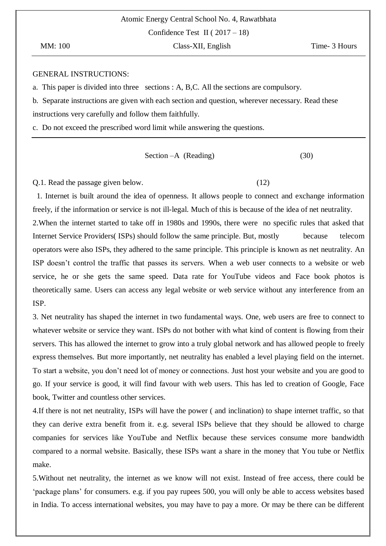Confidence Test II ( $2017 - 18$ )

### GENERAL INSTRUCTIONS:

a. This paper is divided into three sections : A, B,C. All the sections are compulsory.

b. Separate instructions are given with each section and question, wherever necessary. Read these instructions very carefully and follow them faithfully.

c. Do not exceed the prescribed word limit while answering the questions.

Section –A (Reading)  $(30)$ 

Q.1. Read the passage given below. (12)

 1. Internet is built around the idea of openness. It allows people to connect and exchange information freely, if the information or service is not ill-legal. Much of this is because of the idea of net neutrality. 2.When the internet started to take off in 1980s and 1990s, there were no specific rules that asked that Internet Service Providers( ISPs) should follow the same principle. But, mostly because telecom operators were also ISPs, they adhered to the same principle. This principle is known as net neutrality. An ISP doesn"t control the traffic that passes its servers. When a web user connects to a website or web service, he or she gets the same speed. Data rate for YouTube videos and Face book photos is theoretically same. Users can access any legal website or web service without any interference from an ISP.

3. Net neutrality has shaped the internet in two fundamental ways. One, web users are free to connect to whatever website or service they want. ISPs do not bother with what kind of content is flowing from their servers. This has allowed the internet to grow into a truly global network and has allowed people to freely express themselves. But more importantly, net neutrality has enabled a level playing field on the internet. To start a website, you don"t need lot of money or connections. Just host your website and you are good to go. If your service is good, it will find favour with web users. This has led to creation of Google, Face book, Twitter and countless other services.

4.If there is not net neutrality, ISPs will have the power ( and inclination) to shape internet traffic, so that they can derive extra benefit from it. e.g. several ISPs believe that they should be allowed to charge companies for services like YouTube and Netflix because these services consume more bandwidth compared to a normal website. Basically, these ISPs want a share in the money that You tube or Netflix make.

5.Without net neutrality, the internet as we know will not exist. Instead of free access, there could be 'package plans' for consumers. e.g. if you pay rupees 500, you will only be able to access websites based in India. To access international websites, you may have to pay a more. Or may be there can be different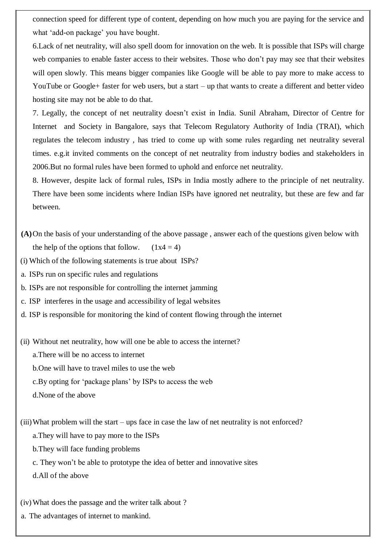connection speed for different type of content, depending on how much you are paying for the service and what 'add-on package' you have bought.

6.Lack of net neutrality, will also spell doom for innovation on the web. It is possible that ISPs will charge web companies to enable faster access to their websites. Those who don"t pay may see that their websites will open slowly. This means bigger companies like Google will be able to pay more to make access to YouTube or Google+ faster for web users, but a start – up that wants to create a different and better video hosting site may not be able to do that.

7. Legally, the concept of net neutrality doesn"t exist in India. Sunil Abraham, Director of Centre for Internet and Society in Bangalore, says that Telecom Regulatory Authority of India (TRAI), which regulates the telecom industry , has tried to come up with some rules regarding net neutrality several times. e.g.it invited comments on the concept of net neutrality from industry bodies and stakeholders in 2006.But no formal rules have been formed to uphold and enforce net neutrality.

8. However, despite lack of formal rules, ISPs in India mostly adhere to the principle of net neutrality. There have been some incidents where Indian ISPs have ignored net neutrality, but these are few and far between.

- **(A)**On the basis of your understanding of the above passage , answer each of the questions given below with the help of the options that follow.  $(1x4 = 4)$
- (i) Which of the following statements is true about ISPs?
- a. ISPs run on specific rules and regulations
- b. ISPs are not responsible for controlling the internet jamming
- c. ISP interferes in the usage and accessibility of legal websites
- d. ISP is responsible for monitoring the kind of content flowing through the internet

(ii) Without net neutrality, how will one be able to access the internet?

a.There will be no access to internet

b.One will have to travel miles to use the web

- c.By opting for "package plans" by ISPs to access the web
- d.None of the above

(iii)What problem will the start – ups face in case the law of net neutrality is not enforced?

a.They will have to pay more to the ISPs

- b.They will face funding problems
- c. They won"t be able to prototype the idea of better and innovative sites

d.All of the above

(iv)What does the passage and the writer talk about ?

a. The advantages of internet to mankind.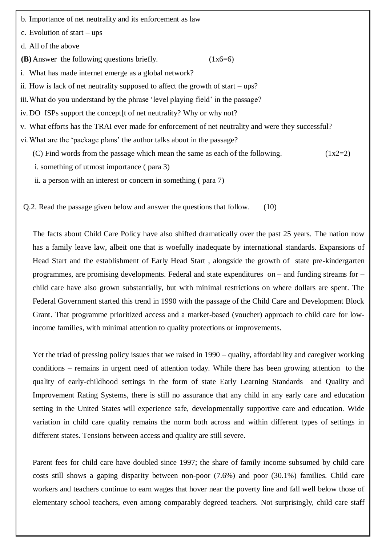b. Importance of net neutrality and its enforcement as law

c. Evolution of start – ups

d. All of the above

- **(B)** Answer the following questions briefly.  $(1x6=6)$
- i. What has made internet emerge as a global network?
- ii. How is lack of net neutrality supposed to affect the growth of start ups?
- iii. What do you understand by the phrase 'level playing field' in the passage?
- iv. DO ISPs support the concept[t of net neutrality? Why or why not?
- v. What efforts has the TRAI ever made for enforcement of net neutrality and were they successful?
- vi.What are the "package plans" the author talks about in the passage?
	- (C) Find words from the passage which mean the same as each of the following.  $(1x2=2)$
	- i. something of utmost importance ( para 3)
	- ii. a person with an interest or concern in something ( para 7)

Q.2. Read the passage given below and answer the questions that follow. (10)

The facts about Child Care Policy have also shifted dramatically over the past 25 years. The nation now has a family leave law, albeit one that is woefully inadequate by international standards. Expansions of Head Start and the establishment of Early Head Start , alongside the growth of state pre-kindergarten programmes, are promising developments. Federal and state expenditures on – and funding streams for – child care have also grown substantially, but with minimal restrictions on where dollars are spent. The Federal Government started this trend in 1990 with the passage of the Child Care and Development Block Grant. That programme prioritized access and a market-based (voucher) approach to child care for lowincome families, with minimal attention to quality protections or improvements.

Yet the triad of pressing policy issues that we raised in 1990 – quality, affordability and caregiver working conditions – remains in urgent need of attention today. While there has been growing attention to the quality of early-childhood settings in the form of state Early Learning Standards and Quality and Improvement Rating Systems, there is still no assurance that any child in any early care and education setting in the United States will experience safe, developmentally supportive care and education. Wide variation in child care quality remains the norm both across and within different types of settings in different states. Tensions between access and quality are still severe.

Parent fees for child care have doubled since 1997; the share of family income subsumed by child care costs still shows a gaping disparity between non-poor (7.6%) and poor (30.1%) families. Child care workers and teachers continue to earn wages that hover near the poverty line and fall well below those of elementary school teachers, even among comparably degreed teachers. Not surprisingly, child care staff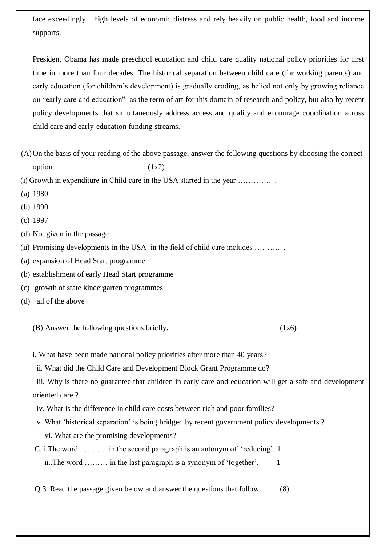face exceedingly high levels of economic distress and rely heavily on public health, food and income supports.

President Obama has made preschool education and child care quality national policy priorities for first time in more than four decades. The historical separation between child care (for working parents) and early education (for children"s development) is gradually eroding, as belied not only by growing reliance on "early care and education" as the term of art for this domain of research and policy, but also by recent policy developments that simultaneously address access and quality and encourage coordination across child care and early-education funding streams.

(A)On the basis of your reading of the above passage, answer the following questions by choosing the correct option.  $(1x2)$ 

(i) Growth in expenditure in Child care in the USA started in the year …………. .

- (a) 1980
- (b) 1990
- (c) 1997
- (d) Not given in the passage

(ii) Promising developments in the USA in the field of child care includes ..........

- (a) expansion of Head Start programme
- (b) establishment of early Head Start programme
- (c) growth of state kindergarten programmes
- (d) all of the above

 $(B)$  Answer the following questions briefly.  $(1x6)$ 

i. What have been made national policy priorities after more than 40 years?

ii. What did the Child Care and Development Block Grant Programme do?

iii. Why is there no guarantee that children in early care and education will get a safe and development oriented care ?

- iv. What is the difference in child care costs between rich and poor families?
- v. What "historical separation" is being bridged by recent government policy developments ?
	- vi. What are the promising developments?
- C. i.The word ………. in the second paragraph is an antonym of "reducing". 1

ii..The word  $\ldots$  in the last paragraph is a synonym of 'together'.  $1$ 

Q.3. Read the passage given below and answer the questions that follow. (8)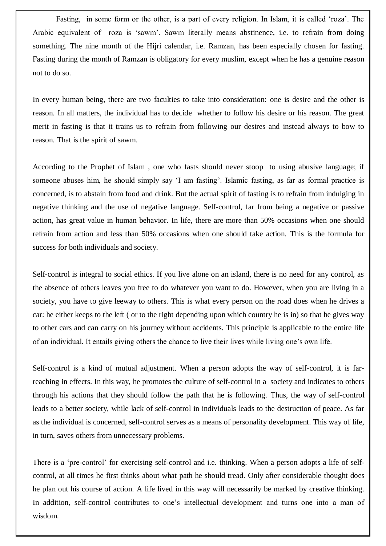Fasting, in some form or the other, is a part of every religion. In Islam, it is called 'roza'. The Arabic equivalent of roza is "sawm". Sawm literally means abstinence, i.e. to refrain from doing something. The nine month of the Hijri calendar, i.e. Ramzan, has been especially chosen for fasting. Fasting during the month of Ramzan is obligatory for every muslim, except when he has a genuine reason not to do so.

In every human being, there are two faculties to take into consideration: one is desire and the other is reason. In all matters, the individual has to decide whether to follow his desire or his reason. The great merit in fasting is that it trains us to refrain from following our desires and instead always to bow to reason. That is the spirit of sawm.

According to the Prophet of Islam , one who fasts should never stoop to using abusive language; if someone abuses him, he should simply say 'I am fasting'. Islamic fasting, as far as formal practice is concerned, is to abstain from food and drink. But the actual spirit of fasting is to refrain from indulging in negative thinking and the use of negative language. Self-control, far from being a negative or passive action, has great value in human behavior. In life, there are more than 50% occasions when one should refrain from action and less than 50% occasions when one should take action. This is the formula for success for both individuals and society.

Self-control is integral to social ethics. If you live alone on an island, there is no need for any control, as the absence of others leaves you free to do whatever you want to do. However, when you are living in a society, you have to give leeway to others. This is what every person on the road does when he drives a car: he either keeps to the left ( or to the right depending upon which country he is in) so that he gives way to other cars and can carry on his journey without accidents. This principle is applicable to the entire life of an individual. It entails giving others the chance to live their lives while living one"s own life.

Self-control is a kind of mutual adjustment. When a person adopts the way of self-control, it is farreaching in effects. In this way, he promotes the culture of self-control in a society and indicates to others through his actions that they should follow the path that he is following. Thus, the way of self-control leads to a better society, while lack of self-control in individuals leads to the destruction of peace. As far as the individual is concerned, self-control serves as a means of personality development. This way of life, in turn, saves others from unnecessary problems.

There is a 'pre-control' for exercising self-control and i.e. thinking. When a person adopts a life of selfcontrol, at all times he first thinks about what path he should tread. Only after considerable thought does he plan out his course of action. A life lived in this way will necessarily be marked by creative thinking. In addition, self-control contributes to one's intellectual development and turns one into a man of wisdom.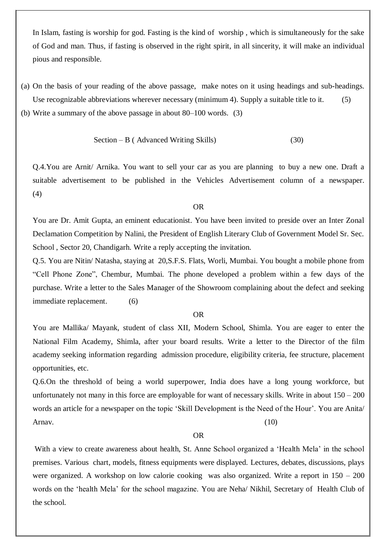In Islam, fasting is worship for god. Fasting is the kind of worship , which is simultaneously for the sake of God and man. Thus, if fasting is observed in the right spirit, in all sincerity, it will make an individual pious and responsible.

(a) On the basis of your reading of the above passage, make notes on it using headings and sub-headings. Use recognizable abbreviations wherever necessary (minimum 4). Supply a suitable title to it. (5) (b) Write a summary of the above passage in about 80–100 words. (3)

Section – B ( Advanced Writing Skills) 
$$
(30)
$$

Q.4.You are Arnit/ Arnika. You want to sell your car as you are planning to buy a new one. Draft a suitable advertisement to be published in the Vehicles Advertisement column of a newspaper. (4)

### OR

You are Dr. Amit Gupta, an eminent educationist. You have been invited to preside over an Inter Zonal Declamation Competition by Nalini, the President of English Literary Club of Government Model Sr. Sec. School , Sector 20, Chandigarh. Write a reply accepting the invitation.

Q.5. You are Nitin/ Natasha, staying at 20,S.F.S. Flats, Worli, Mumbai. You bought a mobile phone from "Cell Phone Zone", Chembur, Mumbai. The phone developed a problem within a few days of the purchase. Write a letter to the Sales Manager of the Showroom complaining about the defect and seeking immediate replacement. (6)

### OR

You are Mallika/ Mayank, student of class XII, Modern School, Shimla. You are eager to enter the National Film Academy, Shimla, after your board results. Write a letter to the Director of the film academy seeking information regarding admission procedure, eligibility criteria, fee structure, placement opportunities, etc.

Q.6.On the threshold of being a world superpower, India does have a long young workforce, but unfortunately not many in this force are employable for want of necessary skills. Write in about  $150 - 200$ words an article for a newspaper on the topic 'Skill Development is the Need of the Hour'. You are Anita/ Arnav.  $(10)$ 

#### OR

With a view to create awareness about health, St. Anne School organized a "Health Mela" in the school premises. Various chart, models, fitness equipments were displayed. Lectures, debates, discussions, plays were organized. A workshop on low calorie cooking was also organized. Write a report in 150 – 200 words on the "health Mela" for the school magazine. You are Neha/ Nikhil, Secretary of Health Club of the school.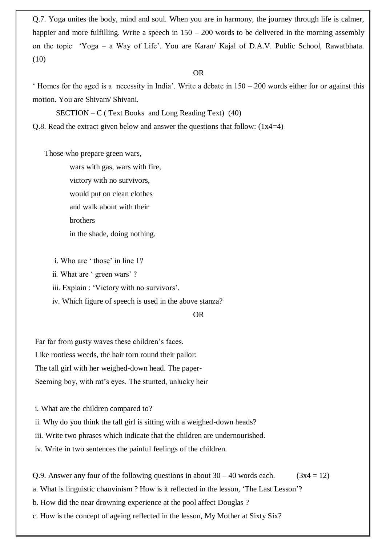Q.7. Yoga unites the body, mind and soul. When you are in harmony, the journey through life is calmer, happier and more fulfilling. Write a speech in  $150 - 200$  words to be delivered in the morning assembly on the topic "Yoga – a Way of Life". You are Karan/ Kajal of D.A.V. Public School, Rawatbhata. (10)

### OR

' Homes for the aged is a necessity in India'. Write a debate in  $150 - 200$  words either for or against this motion. You are Shivam/ Shivani.

 $SECTION - C$  (Text Books and Long Reading Text) (40)

Q.8. Read the extract given below and answer the questions that follow:  $(1x4=4)$ 

Those who prepare green wars,

 wars with gas, wars with fire, victory with no survivors, would put on clean clothes and walk about with their brothers in the shade, doing nothing.

i. Who are 'those' in line 1?

ii. What are ' green wars' ?

iii. Explain : 'Victory with no survivors'.

iv. Which figure of speech is used in the above stanza?

### OR

Far far from gusty waves these children's faces. Like rootless weeds, the hair torn round their pallor: The tall girl with her weighed-down head. The paper-Seeming boy, with rat's eyes. The stunted, unlucky heir

i. What are the children compared to?

ii. Why do you think the tall girl is sitting with a weighed-down heads?

iii. Write two phrases which indicate that the children are undernourished.

iv. Write in two sentences the painful feelings of the children.

Q.9. Answer any four of the following questions in about  $30 - 40$  words each. (3x4 = 12)

a. What is linguistic chauvinism ? How is it reflected in the lesson, "The Last Lesson"?

b. How did the near drowning experience at the pool affect Douglas ?

c. How is the concept of ageing reflected in the lesson, My Mother at Sixty Six?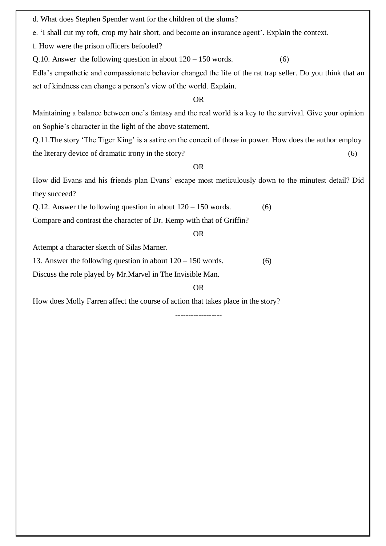d. What does Stephen Spender want for the children of the slums?

e. 'I shall cut my toft, crop my hair short, and become an insurance agent'. Explain the context.

f. How were the prison officers befooled?

Q.10. Answer the following question in about  $120 - 150$  words.  $(6)$ 

Edla"s empathetic and compassionate behavior changed the life of the rat trap seller. Do you think that an act of kindness can change a person"s view of the world. Explain.

### OR

Maintaining a balance between one"s fantasy and the real world is a key to the survival. Give your opinion on Sophie"s character in the light of the above statement.

Q.11.The story "The Tiger King" is a satire on the conceit of those in power. How does the author employ the literary device of dramatic irony in the story? (6)

### OR

How did Evans and his friends plan Evans" escape most meticulously down to the minutest detail? Did they succeed?

Q.12. Answer the following question in about  $120 - 150$  words.  $(6)$ 

Compare and contrast the character of Dr. Kemp with that of Griffin?

### OR

Attempt a character sketch of Silas Marner.

13. Answer the following question in about  $120 - 150$  words.  $(6)$ 

Discuss the role played by Mr.Marvel in The Invisible Man.

### OR

How does Molly Farren affect the course of action that takes place in the story?

------------------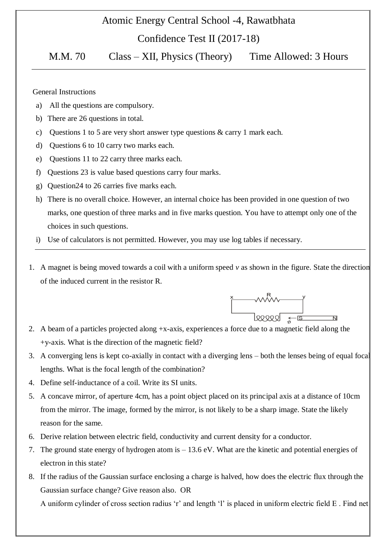### Atomic Energy Central School -4, Rawatbhata

Confidence Test II (2017-18)

M.M. 70 Class – XII, Physics (Theory) Time Allowed: 3 Hours

General Instructions

- a) All the questions are compulsory.
- b) There are 26 questions in total.
- c) Questions 1 to 5 are very short answer type questions & carry 1 mark each.
- d) Questions 6 to 10 carry two marks each.
- e) Questions 11 to 22 carry three marks each.
- f) Questions 23 is value based questions carry four marks.
- g) Question24 to 26 carries five marks each.
- h) There is no overall choice. However, an internal choice has been provided in one question of two marks, one question of three marks and in five marks question. You have to attempt only one of the choices in such questions.
- i) Use of calculators is not permitted. However, you may use log tables if necessary.
- 1. A magnet is being moved towards a coil with a uniform speed *v* as shown in the figure. State the direction of the induced current in the resistor R.



- +y-axis. What is the direction of the magnetic field?
- 3. A converging lens is kept co-axially in contact with a diverging lens both the lenses being of equal focal lengths. What is the focal length of the combination?
- 4. Define self-inductance of a coil. Write its SI units.
- 5. A concave mirror, of aperture 4cm, has a point object placed on its principal axis at a distance of 10cm from the mirror. The image, formed by the mirror, is not likely to be a sharp image. State the likely reason for the same.
- 6. Derive relation between electric field, conductivity and current density for a conductor.
- 7. The ground state energy of hydrogen atom is 13.6 eV. What are the kinetic and potential energies of electron in this state?
- 8. If the radius of the Gaussian surface enclosing a charge is halved, how does the electric flux through the Gaussian surface change? Give reason also. OR

A uniform cylinder of cross section radius "r" and length "l" is placed in uniform electric field E . Find net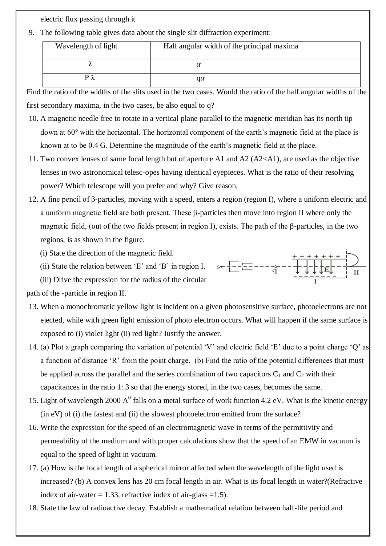electric flux passing through it

9. The following table gives data about the single slit diffraction experiment:

| Wavelength of light | Half angular width of the principal maxima |
|---------------------|--------------------------------------------|
|                     |                                            |
|                     | qα                                         |

Find the ratio of the widths of the slits used in the two cases. Would the ratio of the half angular widths of the first secondary maxima, in the two cases, be also equal to q?

- 10. A magnetic needle free to rotate in a vertical plane parallel to the magnetic meridian has its north tip down at  $60^{\circ}$  with the horizontal. The horizontal component of the earth's magnetic field at the place is known at to be 0.4 G. Determine the magnitude of the earth's magnetic field at the place.
- 11. Two convex lenses of same focal length but of aperture A1 and A2 (A2<A1), are used as the objective lenses in two astronomical telesc-opes having identical eyepieces. What is the ratio of their resolving power? Which telescope will you prefer and why? Give reason.
- 12. A fine pencil of β-particles, moving with a speed, enters a region (region I), where a uniform electric and a uniform magnetic field are both present. These β-particles then move into region II where only the magnetic field, (out of the two fields present in region I), exists. The path of the β-particles, in the two regions, is as shown in the figure.

 $s \leftarrow \frac{1}{L} - \frac{1}{L} - \frac{1}{Q} - \frac{1}{Q} - \frac{1}{Q} + \frac{1}{Q}$ 

(i) State the direction of the magnetic field.

(ii) State the relation between "E" and "B" in region I.

(iii) Drive the expression for the radius of the circular

path of the -particle in region II.

- 13. When a monochromatic yellow light is incident on a given photosensitive surface, photoelectrons are not ejected, while with green light emission of photo electron occurs. What will happen if the same surface is exposed to (i) violet light (ii) red light? Justify the answer.
- 14. (a) Plot a graph comparing the variation of potential "V" and electric field "E" due to a point charge "Q" as a function of distance 'R' from the point charge. (b) Find the ratio of the potential differences that must be applied across the parallel and the series combination of two capacitors  $C_1$  and  $C_2$  with their capacitances in the ratio 1: 3 so that the energy stored, in the two cases, becomes the same.
- 15. Light of wavelength 2000  $A^0$  falls on a metal surface of work function 4.2 eV. What is the kinetic energy (in eV) of (i) the fastest and (ii) the slowest photoelectron emitted from the surface?
- 16. Write the expression for the speed of an electromagnetic wave in terms of the permittivity and permeability of the medium and with proper calculations show that the speed of an EMW in vacuum is equal to the speed of light in vacuum.
- 17. (a) How is the focal length of a spherical mirror affected when the wavelength of the light used is increased? (b) A convex lens has 20 cm focal length in air. What is its focal length in water?(Refractive index of air-water  $= 1.33$ , refractive index of air-glass  $= 1.5$ ).
- 18. State the law of radioactive decay. Establish a mathematical relation between half-life period and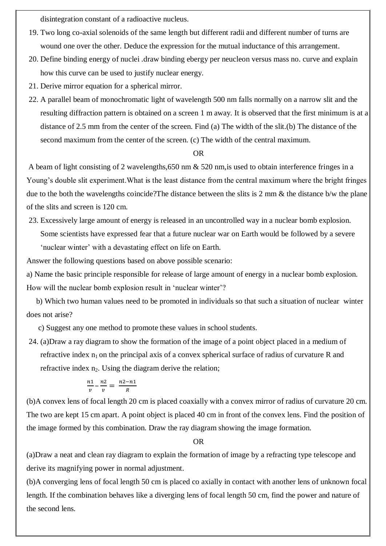disintegration constant of a radioactive nucleus.

- 19. Two long co-axial solenoids of the same length but different radii and different number of turns are wound one over the other. Deduce the expression for the mutual inductance of this arrangement.
- 20. Define binding energy of nuclei .draw binding ebergy per neucleon versus mass no. curve and explain how this curve can be used to justify nuclear energy.
- 21. Derive mirror equation for a spherical mirror.
- 22. A parallel beam of monochromatic light of wavelength 500 nm falls normally on a narrow slit and the resulting diffraction pattern is obtained on a screen 1 m away. It is observed that the first minimum is at a distance of 2.5 mm from the center of the screen. Find (a) The width of the slit.(b) The distance of the second maximum from the center of the screen. (c) The width of the central maximum.

### OR

A beam of light consisting of 2 wavelengths,650 nm & 520 nm,is used to obtain interference fringes in a Young's double slit experiment. What is the least distance from the central maximum where the bright fringes due to the both the wavelengths coincide?The distance between the slits is 2 mm & the distance b/w the plane of the slits and screen is 120 cm.

23. Excessively large amount of energy is released in an uncontrolled way in a nuclear bomb explosion. Some scientists have expressed fear that a future nuclear war on Earth would be followed by a severe 'nuclear winter' with a devastating effect on life on Earth.

Answer the following questions based on above possible scenario:

a) Name the basic principle responsible for release of large amount of energy in a nuclear bomb explosion. How will the nuclear bomb explosion result in 'nuclear winter'?

 b) Which two human values need to be promoted in individuals so that such a situation of nuclear winter does not arise?

c) Suggest any one method to promote these values in school students.

24. (a)Draw a ray diagram to show the formation of the image of a point object placed in a medium of refractive index  $n_1$  on the principal axis of a convex spherical surface of radius of curvature R and refractive index  $n_2$ . Using the diagram derive the relation;

$$
\frac{n_1}{v} - \frac{n_2}{v} = \frac{n_2 - n_1}{R}
$$

(b)A convex lens of focal length 20 cm is placed coaxially with a convex mirror of radius of curvature 20 cm. The two are kept 15 cm apart. A point object is placed 40 cm in front of the convex lens. Find the position of the image formed by this combination. Draw the ray diagram showing the image formation.

#### OR

(a)Draw a neat and clean ray diagram to explain the formation of image by a refracting type telescope and derive its magnifying power in normal adjustment.

(b)A converging lens of focal length 50 cm is placed co axially in contact with another lens of unknown focal length. If the combination behaves like a diverging lens of focal length 50 cm, find the power and nature of the second lens.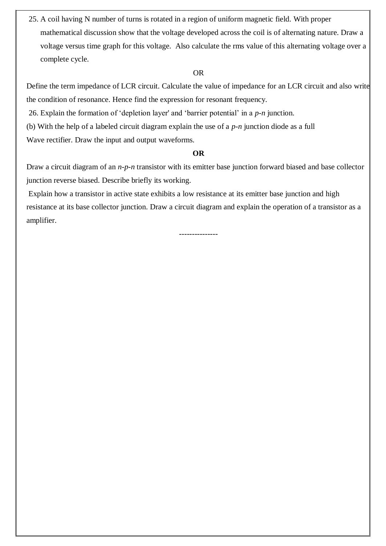25. A coil having N number of turns is rotated in a region of uniform magnetic field. With proper mathematical discussion show that the voltage developed across the coil is of alternating nature. Draw a voltage versus time graph for this voltage. Also calculate the rms value of this alternating voltage over a complete cycle.

### OR

Define the term impedance of LCR circuit. Calculate the value of impedance for an LCR circuit and also write the condition of resonance. Hence find the expression for resonant frequency.

26. Explain the formation of "depletion layer' and "barrier potential" in a *p*-*n* junction.

(b) With the help of a labeled circuit diagram explain the use of a *p*-*n* junction diode as a full

Wave rectifier. Draw the input and output waveforms.

### **OR**

Draw a circuit diagram of an *n*-*p*-*n* transistor with its emitter base junction forward biased and base collector junction reverse biased. Describe briefly its working.

Explain how a transistor in active state exhibits a low resistance at its emitter base junction and high resistance at its base collector junction. Draw a circuit diagram and explain the operation of a transistor as a amplifier.

---------------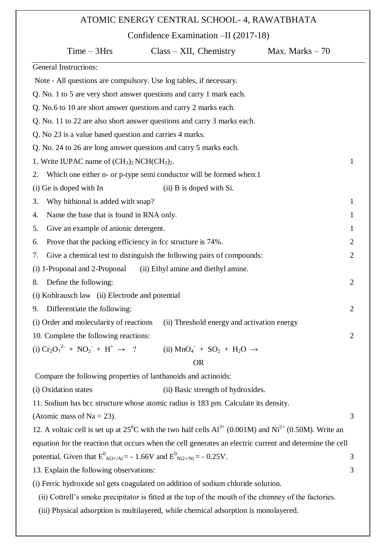## ATOMIC ENERGY CENTRAL SCHOOL- 4, RAWATBHATA

Confidence Examination –II (2017-18)

| $Time - 3Hrs$                                                                                                             | $Class - XII$ , Chemistry                                             | Max. Marks $-70$ |
|---------------------------------------------------------------------------------------------------------------------------|-----------------------------------------------------------------------|------------------|
| <b>General Instructions:</b>                                                                                              |                                                                       |                  |
| Note - All questions are compulsory. Use log tables, if necessary.                                                        |                                                                       |                  |
| Q. No. 1 to 5 are very short answer questions and carry 1 mark each.                                                      |                                                                       |                  |
| Q. No.6 to 10 are short answer questions and carry 2 marks each.                                                          |                                                                       |                  |
| Q. No. 11 to 22 are also short answer questions and carry 3 marks each.                                                   |                                                                       |                  |
| Q. No 23 is a value based question and carries 4 marks.                                                                   |                                                                       |                  |
| Q. No. 24 to 26 are long answer questions and carry 5 marks each.                                                         |                                                                       |                  |
| 1. Write IUPAC name of $(CH_3)_2$ NCH $(CH_3)_2$ .                                                                        |                                                                       | 1                |
| 2.                                                                                                                        | Which one either n- or p-type semi conductor will be formed when:1    |                  |
| (i) Ge is doped with In                                                                                                   | (ii) B is doped with Si.                                              |                  |
| Why bithional is added with soap?<br>3.                                                                                   |                                                                       | 1                |
| Name the base that is found in RNA only.<br>4.                                                                            |                                                                       | 1                |
| Give an example of anionic detergent.<br>5.                                                                               |                                                                       | $\mathbf 1$      |
| Prove that the packing efficiency in fcc structure is 74%.<br>6.                                                          |                                                                       | 2                |
| 7.                                                                                                                        | Give a chemical test to distinguish the following pairs of compounds: | $\overline{2}$   |
| (i) 1-Proponal and 2-Proponal                                                                                             | (ii) Ethyl amine and diethyl amine.                                   |                  |
| Define the following:<br>8.                                                                                               |                                                                       | $\overline{2}$   |
| (i) Kohlrausch law (ii) Electrode and potential                                                                           |                                                                       |                  |
| Differentiate the following:<br>9.                                                                                        |                                                                       | $\overline{2}$   |
| (i) Order and molecularity of reactions                                                                                   | (ii) Threshold energy and activation energy                           |                  |
| 10. Complete the following reactions:                                                                                     |                                                                       | $\overline{2}$   |
| (i) $Cr_2O_7^{2^-} + NO_2^- + H^+ \rightarrow ?$                                                                          | (ii) $MnO_4$ + $SO_2$ + $H_2O \rightarrow$                            |                  |
|                                                                                                                           | <b>OR</b>                                                             |                  |
| Compare the following properties of lanthanoids and actinoids:                                                            |                                                                       |                  |
| (i) Oxidation states                                                                                                      | (ii) Basic strength of hydroxides.                                    |                  |
| 11. Sodium has bcc structure whose atomic radius is 183 pm. Calculate its density.                                        |                                                                       |                  |
| (Atomic mass of $Na = 23$ ).                                                                                              |                                                                       | 3                |
| 12. A voltaic cell is set up at $25^{\circ}$ C with the two half cells $Al^{3+}$ (0.001M) and $Ni^{2+}$ (0.50M). Write an |                                                                       |                  |
| equation for the reaction that occurs when the cell generates an electric current and determine the cell                  |                                                                       |                  |
| potential. Given that $E^0$ <sub>Al3+/Al</sub> = - 1.66V and $E^0$ <sub>Ni2+/Ni</sub> = - 0.25V.<br>3                     |                                                                       |                  |
| 13. Explain the following observations:<br>3                                                                              |                                                                       |                  |
| (i) Ferric hydroxide sol gets coagulated on addition of sodium chloride solution.                                         |                                                                       |                  |
| (ii) Cottrell's smoke precipitator is fitted at the top of the mouth of the chimney of the factories.                     |                                                                       |                  |
| (iii) Physical adsorption is multilayered, while chemical adsorption is monolayered.                                      |                                                                       |                  |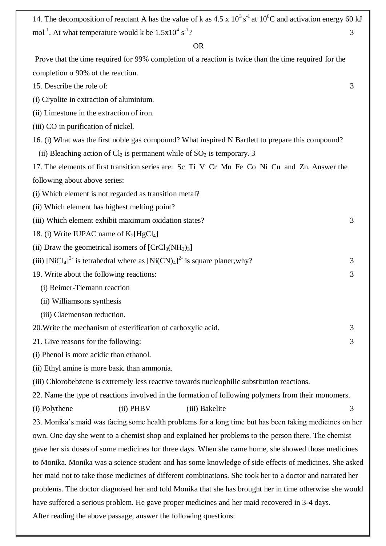14. The decomposition of reactant A has the value of k as  $4.5 \times 10^3$  s<sup>-1</sup> at  $10^0$ C and activation energy 60 kJ mol<sup>-1</sup>. At what temperature would k be  $1.5x10^4 s^{-1}$ ? 3

### OR

Prove that the time required for 99% completion of a reaction is twice than the time required for the completion o 90% of the reaction.

- 15. Describe the role of: 3
- (i) Cryolite in extraction of aluminium.
- (ii) Limestone in the extraction of iron.
- (iii) CO in purification of nickel.
- 16. (i) What was the first noble gas compound? What inspired N Bartlett to prepare this compound?
- (ii) Bleaching action of  $Cl_2$  is permanent while of  $SO_2$  is temporary. 3
- 17. The elements of first transition series are: Sc Ti V Cr Mn Fe Co Ni Cu and Zn. Answer the following about above series:
- (i) Which element is not regarded as transition metal?
- (ii) Which element has highest melting point?
- (iii) Which element exhibit maximum oxidation states? 3
- 18. (i) Write IUPAC name of  $K_2[HgCl_4]$
- (ii) Draw the geometrical isomers of  $[CrCl<sub>3</sub>(NH<sub>3</sub>)<sub>3</sub>]$
- (iii)  $[NiCl<sub>4</sub>]<sup>2</sup>$  is tetrahedral where as  $[Ni(CN)<sub>4</sub>]<sup>2</sup>$  is square planer, why?
- 19. Write about the following reactions: 3
	- (i) Reimer-Tiemann reaction
	- (ii) Williamsons synthesis
	- (iii) Claemenson reduction.
- 20. Write the mechanism of esterification of carboxylic acid. 3
- 21. Give reasons for the following: 3
- (i) Phenol is more acidic than ethanol.
- (ii) Ethyl amine is more basic than ammonia.
- (iii) Chlorobebzene is extremely less reactive towards nucleophilic substitution reactions.
- 22. Name the type of reactions involved in the formation of following polymers from their monomers.

(i) Polythene (ii) PHBV (iii) Bakelite 3

23. Monika"s maid was facing some health problems for a long time but has been taking medicines on her own. One day she went to a chemist shop and explained her problems to the person there. The chemist gave her six doses of some medicines for three days. When she came home, she showed those medicines to Monika. Monika was a science student and has some knowledge of side effects of medicines. She asked her maid not to take those medicines of different combinations. She took her to a doctor and narrated her problems. The doctor diagnosed her and told Monika that she has brought her in time otherwise she would have suffered a serious problem. He gave proper medicines and her maid recovered in 3-4 days. After reading the above passage, answer the following questions: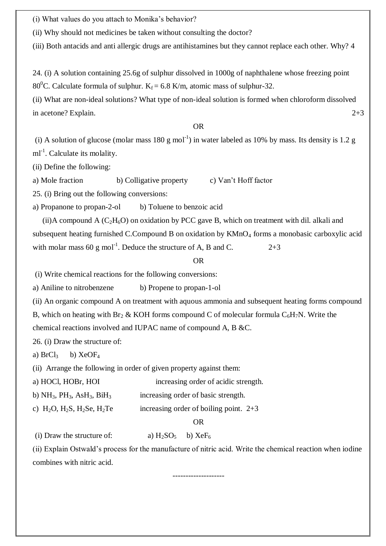(i) What values do you attach to Monika"s behavior?

(ii) Why should not medicines be taken without consulting the doctor?

(iii) Both antacids and anti allergic drugs are antihistamines but they cannot replace each other. Why? 4

24. (i) A solution containing 25.6g of sulphur dissolved in 1000g of naphthalene whose freezing point 80<sup>0</sup>C. Calculate formula of sulphur. K<sub>f</sub> = 6.8 K/m, atomic mass of sulphur-32.

(ii) What are non-ideal solutions? What type of non-ideal solution is formed when chloroform dissolved in acetone? Explain.  $2+3$ 

OR

(i) A solution of glucose (molar mass  $180 \text{ g mol}^{-1}$ ) in water labeled as  $10\%$  by mass. Its density is 1.2 g  $ml^{-1}$ . Calculate its molality.

(ii) Define the following:

a) Mole fraction b) Colligative property c) Van"t Hoff factor

25. (i) Bring out the following conversions:

a) Propanone to propan-2-ol b) Toluene to benzoic acid

(ii)A compound A  $(C_2H_6O)$  on oxidation by PCC gave B, which on treatment with dil. alkali and subsequent heating furnished C.Compound B on oxidation by KMnO<sub>4</sub> forms a monobasic carboxylic acid with molar mass 60 g mol<sup>-1</sup>. Deduce the structure of A, B and C.  $2+3$ 

### OR

(i) Write chemical reactions for the following conversions:

a) Aniline to nitrobenzene b) Propene to propan-1-ol

(ii) An organic compound A on treatment with aquous ammonia and subsequent heating forms compound B, which on heating with Br<sub>2</sub> & KOH forms compound C of molecular formula  $C_6H_7N$ . Write the chemical reactions involved and IUPAC name of compound A, B &C.

26. (i) Draw the structure of:

a)  $BrCl<sub>3</sub>$  b)  $XeOF<sub>4</sub>$ 

(ii) Arrange the following in order of given property against them:

| a) HOCl, HOBr, HOI                     | increasing order of acidic strength.     |
|----------------------------------------|------------------------------------------|
| b) $NH_3$ , $PH_3$ , $AsH_3$ , $BiH_3$ | increasing order of basic strength.      |
| c) $H_2O$ , $H_2S$ , $H_2Se$ , $H_2Te$ | increasing order of boiling point. $2+3$ |
|                                        | OR                                       |

(i) Draw the structure of:  $a) H_2SO_5 \t b) XeF_6$ 

(ii) Explain Ostwald"s process for the manufacture of nitric acid. Write the chemical reaction when iodine combines with nitric acid.

--------------------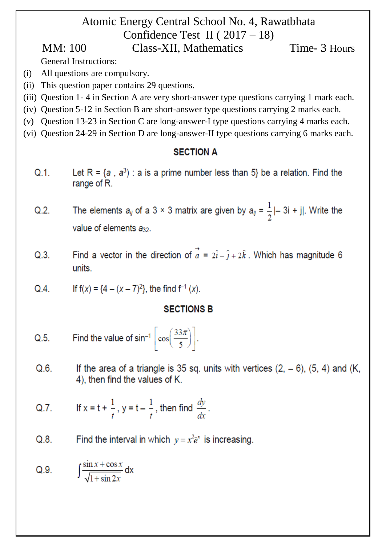# Atomic Energy Central School No. 4, Rawatbhata Confidence Test II ( $2017 - 18$ )

# MM: 100 Class-XII, Mathematics Time- 3 Hours

General Instructions:

- (i) All questions are compulsory.
- (ii) This question paper contains 29 questions.
- (iii) Question 1- 4 in Section A are very short-answer type questions carrying 1 mark each.
- (iv) Question 5-12 in Section B are short-answer type questions carrying 2 marks each.
- (v) Question 13-23 in Section C are long-answer-I type questions carrying 4 marks each.
- (vi) Question 24-29 in Section D are long-answer-II type questions carrying 6 marks each.

### **SECTION A**

Let  $R = \{a, a^3\}$ : a is a prime number less than 5} be a relation. Find the  $Q.1$ . range of R.

The elements  $a_{ij}$  of a 3 × 3 matrix are given by  $a_{ij} = \frac{1}{2}$  | - 3i + j|. Write the  $Q.2.$ value of elements a<sub>32</sub>.

- Find a vector in the direction of  $\vec{a} = 2\hat{i} \hat{j} + 2\hat{k}$ . Which has magnitude 6  $Q.3.$ units.
- If  $f(x) = {4 (x 7)^2}$ , the find  $f^{-1}(x)$ .  $Q.4$ .

## **SECTIONS B**

- Find the value of  $\sin^{-1} \left[ \cos \left( \frac{33\pi}{5} \right) \right]$ .  $Q.5.$
- $Q.6$ . If the area of a triangle is 35 sq. units with vertices  $(2, -6)$ ,  $(5, 4)$  and  $(K,$ 4), then find the values of K.
- If  $x = t + \frac{1}{t}$ ,  $y = t \frac{1}{t}$ , then find  $\frac{dy}{dx}$ .  $Q.7$ .
- Find the interval in which  $y = x^2 \bar{e}^x$  is increasing.  $Q.8.$

Q.9. 
$$
\int \frac{\sin x + \cos x}{\sqrt{1 + \sin 2x}} dx
$$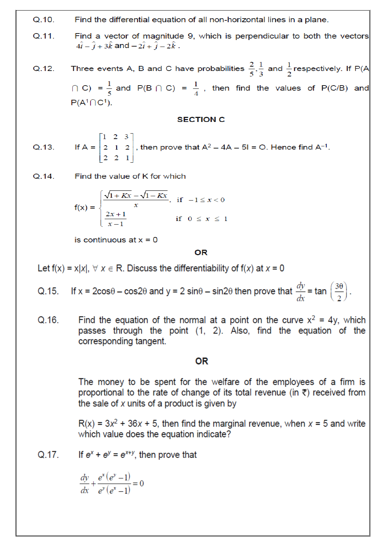$Q.10.$ Find the differential equation of all non-horizontal lines in a plane.

- $Q.11.$ Find a vector of magnitude 9, which is perpendicular to both the vectors  $4\hat{i} - \hat{j} + 3\hat{k}$  and  $-2\hat{i} + \hat{j} - 2\hat{k}$ .
- Three events A, B and C have probabilities  $\frac{2}{5}, \frac{1}{3}$  and  $\frac{1}{2}$  respectively. If P(A  $Q.12.$  $\cap$  C) =  $\frac{1}{5}$  and P(B  $\cap$  C) =  $\frac{1}{4}$ , then find the values of P(C/B) and  $P(A^1 \cap C^1)$ .

### **SECTION C**

If A =  $\begin{bmatrix} 1 & 2 & 3 \\ 2 & 1 & 2 \\ 2 & 2 & 1 \end{bmatrix}$ , then prove that A<sup>2</sup> – 4A – 5I = O. Hence find A<sup>-1</sup>.  $Q.13.$ 

Find the value of K for which  $Q.14.$ 

$$
f(x) = \begin{cases} \frac{\sqrt{1+Kx} - \sqrt{1-Kx}}{x}, & \text{if } -1 \le x < 0 \\ \frac{2x+1}{x-1} & \text{if } 0 \le x \le 1 \end{cases}
$$

is continuous at  $x = 0$ 

### **OR**

Let  $f(x) = x|x|$ ,  $\forall x \in R$ . Discuss the differentiability of  $f(x)$  at  $x = 0$ 

- If x =  $2\cos\theta \cos2\theta$  and y =  $2\sin\theta \sin2\theta$  then prove that  $\frac{dy}{dx}$  = tan  $\left(\frac{3\theta}{2}\right)$ .  $Q.15.$
- Find the equation of the normal at a point on the curve  $x^2 = 4y$ , which  $Q.16.$ passes through the point (1, 2). Also, find the equation of the corresponding tangent.

### 0R

The money to be spent for the welfare of the employees of a firm is proportional to the rate of change of its total revenue (in  $\bar{\tau}$ ) received from the sale of x units of a product is given by

 $R(x) = 3x<sup>2</sup> + 36x + 5$ , then find the marginal revenue, when x = 5 and write which value does the equation indicate?

If  $e^x + e^y = e^{x+y}$ , then prove that Q.17.

 $\frac{dy}{dx} + \frac{e^x(e^y - 1)}{e^y(e^x - 1)} = 0$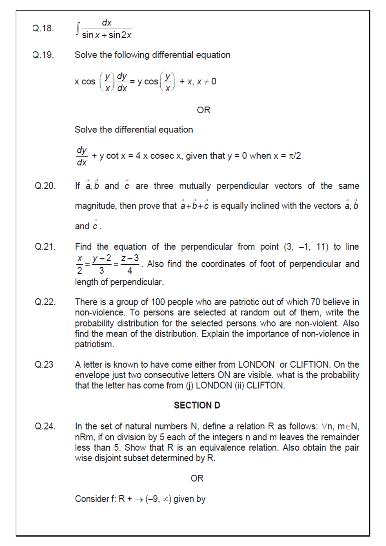$Q.18.$ 

$$
\int \frac{dx}{\sin x + \sin 2x}
$$

Solve the following differential equation  $Q.19.$ 

$$
x \cos \left(\frac{y}{x}\right) \frac{dy}{dx} = y \cos \left(\frac{y}{x}\right) + x, x \neq 0
$$

**OR** 

Solve the differential equation

$$
\frac{dy}{dx} + y \cot x = 4 \times \csc x
$$
, given that  $y = 0$  when  $x = \pi/2$ 

- If  $\vec{a}$ ,  $\vec{b}$  and  $\vec{c}$  are three mutually perpendicular vectors of the same  $O<sub>20</sub>$ magnitude, then prove that  $\vec{a} + \vec{b} + \vec{c}$  is equally inclined with the vectors  $\vec{a}$ ,  $\vec{b}$ and  $\vec{c}$
- Find the equation of the perpendicular from point  $(3, -1, 11)$  to line  $Q<sub>21</sub>$  $\frac{x}{2} = \frac{y-2}{3} = \frac{z-3}{4}$ . Also find the coordinates of foot of perpendicular and length of perpendicular.
- $Q.22.$ There is a group of 100 people who are patriotic out of which 70 believe in non-violence. To persons are selected at random out of them, write the probability distribution for the selected persons who are non-violent. Also find the mean of the distribution. Explain the importance of non-violence in patriotism.
- $Q.23$ A letter is known to have come either from LONDON or CLIFTION. On the envelope just two consecutive letters ON are visible, what is the probability that the letter has come from (j) LONDON (ii) CLIFTON.

### **SECTION D**

 $Q.24.$ In the set of natural numbers N, define a relation R as follows:  $\forall n$ ,  $m \in N$ , nRm, if on division by 5 each of the integers n and m leaves the remainder less than 5. Show that R is an equivalence relation. Also obtain the pair wise disjoint subset determined by R.

### 0R

Consider f: R +  $\rightarrow$  (-9,  $\infty$ ) given by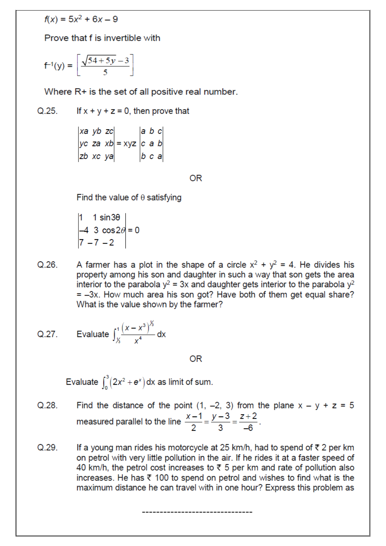$f(x) = 5x^2 + 6x - 9$ 

Prove that f is invertible with

$$
f^{-1}(y) = \left[\frac{\sqrt{54+5y}-3}{5}\right]
$$

Where R+ is the set of all positive real number.

 $Q.25$ If  $x + y + z = 0$ , then prove that

 $\begin{vmatrix} xa & yb & zc \\ yc & za & xb \\ zb & xc & ya \end{vmatrix} = xyz \begin{vmatrix} a & b & c \\ c & a & b \\ b & c & a \end{vmatrix}$ 

**OR** 

Find the value of  $\theta$  satisfying

$$
\begin{vmatrix} 1 & 1 \sin 3\theta \\ -4 & 3 \cos 2\theta \\ 7 & -7 & -2 \end{vmatrix} = 0
$$

A farmer has a plot in the shape of a circle  $x^2 + y^2 = 4$ . He divides his  $Q.26.$ property among his son and daughter in such a way that son gets the area interior to the parabola  $y^2 = 3x$  and daughter gets interior to the parabola  $y^2$  $=$  -3x. How much area his son got? Have both of them get equal share? What is the value shown by the farmer?

Q.27. Evaluate 
$$
\int_{x}^{1} \frac{(x - x^3)^{x}}{x^4} dx
$$

0<sub>R</sub>

Evaluate  $\int_{0}^{3} (2x^{2} + e^{x}) dx$  as limit of sum.

- Find the distance of the point  $(1, -2, 3)$  from the plane  $x y + z = 5$  $Q.28.$ measured parallel to the line  $\frac{x-1}{2} = \frac{y-3}{3} = \frac{z+2}{-6}$ .
- $Q.29.$ If a young man rides his motorcycle at 25 km/h, had to spend of  $\overline{\tau}$  2 per km on petrol with very little pollution in the air. If he rides it at a faster speed of 40 km/h, the petrol cost increases to  $\overline{z}$  5 per km and rate of pollution also increases. He has  $\bar{\tau}$  100 to spend on petrol and wishes to find what is the maximum distance he can travel with in one hour? Express this problem as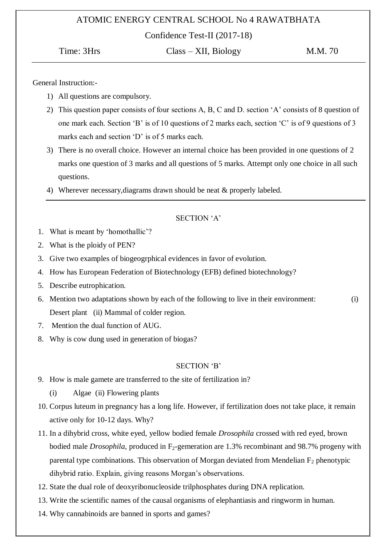### ATOMIC ENERGY CENTRAL SCHOOL No 4 RAWATBHATA

Confidence Test-II (2017-18)

Time: 3Hrs Class – XII, Biology M.M. 70

General Instruction:-

- 1) All questions are compulsory.
- 2) This question paper consists of four sections A, B, C and D. section "A" consists of 8 question of one mark each. Section "B" is of 10 questions of 2 marks each, section "C" is of 9 questions of 3 marks each and section 'D' is of 5 marks each.
- 3) There is no overall choice. However an internal choice has been provided in one questions of 2 marks one question of 3 marks and all questions of 5 marks. Attempt only one choice in all such questions.
- 4) Wherever necessary,diagrams drawn should be neat & properly labeled.

### SECTION 'A'

- 1. What is meant by "homothallic"?
- 2. What is the ploidy of PEN?
- 3. Give two examples of biogeogrphical evidences in favor of evolution.
- 4. How has European Federation of Biotechnology (EFB) defined biotechnology?
- 5. Describe eutrophication.
- 6. Mention two adaptations shown by each of the following to live in their environment: (i) Desert plant (ii) Mammal of colder region.
- 7. Mention the dual function of AUG.
- 8. Why is cow dung used in generation of biogas?

### SECTION 'B'

- 9. How is male gamete are transferred to the site of fertilization in?
	- (i) Algae (ii) Flowering plants
- 10. Corpus luteum in pregnancy has a long life. However, if fertilization does not take place, it remain active only for 10-12 days. Why?
- 11. In a dihybrid cross, white eyed, yellow bodied female *Drosophila* crossed with red eyed, brown bodied male *Drosophila*, produced in F<sub>2</sub>-gemeration are 1.3% recombinant and 98.7% progeny with parental type combinations. This observation of Morgan deviated from Mendelian  $F_2$  phenotypic dihybrid ratio. Explain, giving reasons Morgan's observations.
- 12. State the dual role of deoxyribonucleoside trilphosphates during DNA replication.
- 13. Write the scientific names of the causal organisms of elephantiasis and ringworm in human.
- 14. Why cannabinoids are banned in sports and games?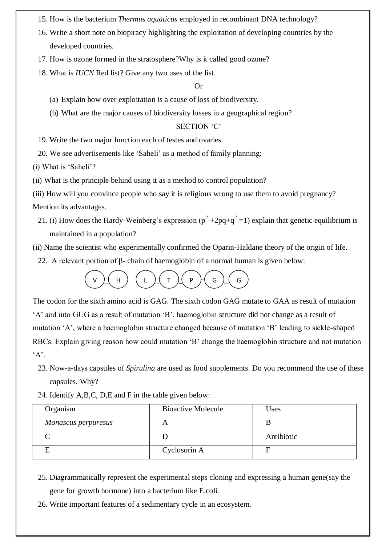- 15. How is the bacterium *Thermus aquaticus* employed in recombinant DNA technology?
- 16. Write a short note on biopiracy highlighting the exploitation of developing countries by the developed countries.
- 17. How is ozone formed in the stratosphere?Why is it called good ozone?
- 18. What is *IUCN* Red list? Give any two uses of the list.

### Or

- (a) Explain how over exploitation is a cause of loss of biodiversity.
- (b) What are the major causes of biodiversity losses in a geographical region?

### SECTION 'C'

- 19. Write the two major function each of testes and ovaries.
- 20. We see advertisements like "Saheli" as a method of family planning:

(i) What is "Saheli"?

- (ii) What is the principle behind using it as a method to control population?
- (iii) How will you convince people who say it is religious wrong to use them to avoid pregnancy?

Mention its advantages.

- 21. (i) How does the Hardy-Weinberg's expression ( $p^2 + 2pq + q^2 = 1$ ) explain that genetic equilibrium is maintained in a population?
- (ii) Name the scientist who experimentally confirmed the Oparin-Haldane theory of the origin of life.
	- 22. A relevant portion of β- chain of haemoglobin of a normal human is given below:



The codon for the sixth amino acid is GAG. The sixth codon GAG mutate to GAA as result of mutation "A" and into GUG as a result of mutation "B". haemoglobin structure did not change as a result of mutation 'A', where a haemoglobin structure changed because of mutation 'B' leading to sickle-shaped RBCs. Explain giving reason how could mutation "B" change the haemoglobin structure and not mutation  $A$ .

- 23. Now-a-days capsules of *Spirulina* are used as food supplements. Do you recommend the use of these capsules. Why?
- 24. Identify A,B,C, D,E and F in the table given below:

| Organism            | <b>Bioactive Molecule</b> | Uses       |
|---------------------|---------------------------|------------|
| Monascus perpuresus |                           |            |
|                     |                           | Antibiotic |
|                     | Cyclosorin A              |            |

- 25. Diagrammatically represent the experimental steps cloning and expressing a human gene(say the gene for growth hormone) into a bacterium like E.coli.
- 26. Write important features of a sedimentary cycle in an ecosystem.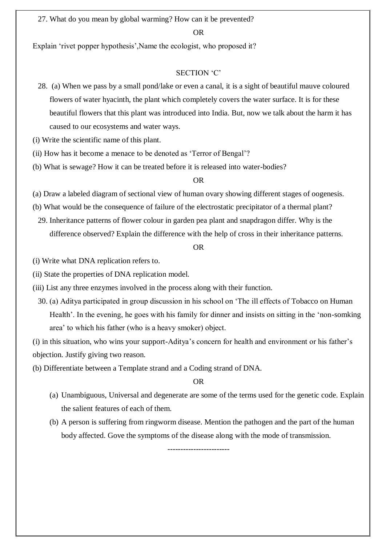27. What do you mean by global warming? How can it be prevented?

### OR

Explain 'rivet popper hypothesis', Name the ecologist, who proposed it?

### SECTION 'C'

- 28. (a) When we pass by a small pond/lake or even a canal, it is a sight of beautiful mauve coloured flowers of water hyacinth, the plant which completely covers the water surface. It is for these beautiful flowers that this plant was introduced into India. But, now we talk about the harm it has caused to our ecosystems and water ways.
- (i) Write the scientific name of this plant.
- (ii) How has it become a menace to be denoted as "Terror of Bengal"?
- (b) What is sewage? How it can be treated before it is released into water-bodies?

### OR

- (a) Draw a labeled diagram of sectional view of human ovary showing different stages of oogenesis.
- (b) What would be the consequence of failure of the electrostatic precipitator of a thermal plant?
- 29. Inheritance patterns of flower colour in garden pea plant and snapdragon differ. Why is the difference observed? Explain the difference with the help of cross in their inheritance patterns.

#### OR

- (i) Write what DNA replication refers to.
- (ii) State the properties of DNA replication model.
- (iii) List any three enzymes involved in the process along with their function.
	- 30. (a) Aditya participated in group discussion in his school on "The ill effects of Tobacco on Human Health'. In the evening, he goes with his family for dinner and insists on sitting in the 'non-somking' area" to which his father (who is a heavy smoker) object.

(i) in this situation, who wins your support-Aditya"s concern for health and environment or his father"s objection. Justify giving two reason.

(b) Differentiate between a Template strand and a Coding strand of DNA.

OR

- (a) Unambiguous, Universal and degenerate are some of the terms used for the genetic code. Explain the salient features of each of them.
- (b) A person is suffering from ringworm disease. Mention the pathogen and the part of the human body affected. Gove the symptoms of the disease along with the mode of transmission.

------------------------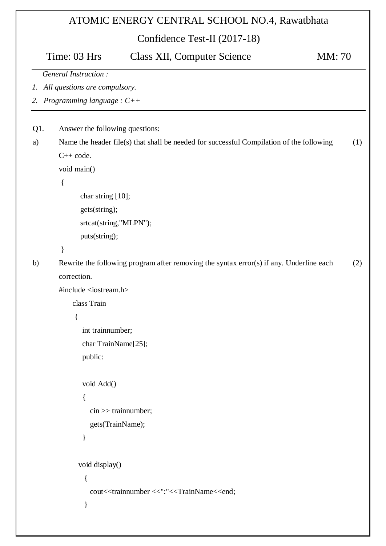# ATOMIC ENERGY CENTRAL SCHOOL NO.4, Rawatbhata

Confidence Test-II (2017-18)

|             | Time: 03 Hrs<br><b>Class XII, Computer Science</b><br><b>MM</b> : 70                     |     |
|-------------|------------------------------------------------------------------------------------------|-----|
|             | <b>General Instruction:</b>                                                              |     |
| $l_{\rm *}$ | All questions are compulsory.                                                            |     |
|             | 2. Programming language : $C++$                                                          |     |
|             |                                                                                          |     |
| Q1.         | Answer the following questions:                                                          |     |
| a)          | Name the header file(s) that shall be needed for successful Compilation of the following | (1) |
|             | $C++code.$                                                                               |     |
|             | void main()                                                                              |     |
|             | $\{$                                                                                     |     |
|             | char string [10];                                                                        |     |
|             | gets(string);                                                                            |     |
|             | srtcat(string,"MLPN");                                                                   |     |
|             | puts(string);                                                                            |     |
|             | $\}$                                                                                     |     |
| b)          | Rewrite the following program after removing the syntax error(s) if any. Underline each  | (2) |
|             | correction.                                                                              |     |
|             | #include <iostream.h></iostream.h>                                                       |     |
|             | class Train                                                                              |     |
|             | {                                                                                        |     |
|             | int trainnumber;                                                                         |     |
|             | char TrainName[25];                                                                      |     |
|             | public:                                                                                  |     |
|             | void Add()                                                                               |     |
|             |                                                                                          |     |
|             | $\sin \gg$ trainnumber;                                                                  |     |
|             | gets(TrainName);                                                                         |     |
|             |                                                                                          |     |
|             | void display()                                                                           |     |
|             | $\{$                                                                                     |     |
|             | cout< <trainnumber <<":"<<trainname<<end;<="" td=""><td></td></trainnumber>              |     |
|             | ∤                                                                                        |     |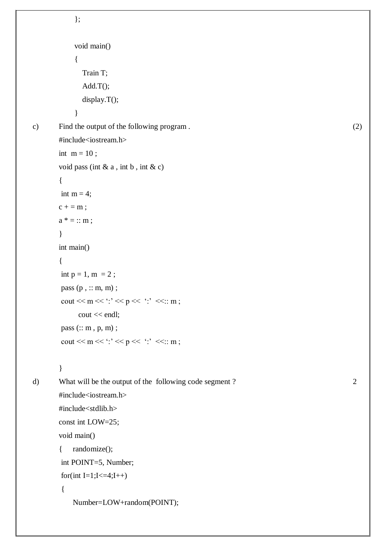```
 };
            void main() 
            { 
              Train T; 
              Add.T(); 
             display.T();
            } 
c) Find the output of the following program . (2)
       #include<iostream.h>
       int m = 10;
       void pass (int \& a, int \& c)
       {
       int m = 4;
       c + = m;a^* = :: m;}
       int main()
       { 
       int p = 1, m = 2;
       pass (p, :: m, m);
       cout << m << ':' << p << ':' << :: m ;
             cout << endl;
       pass (:: m , p, m) ; 
       cout << m << \cdot :' << p << ':' << :: m ;
       }
d) What will be the output of the following code segment ? 2
       #include<iostream.h>
       #include<stdlib.h>
       const int LOW=25;
       void main()
       { randomize();
       int POINT=5, Number;
       for(int I=1;I<=4;I++)
        {
           Number=LOW+random(POINT);
```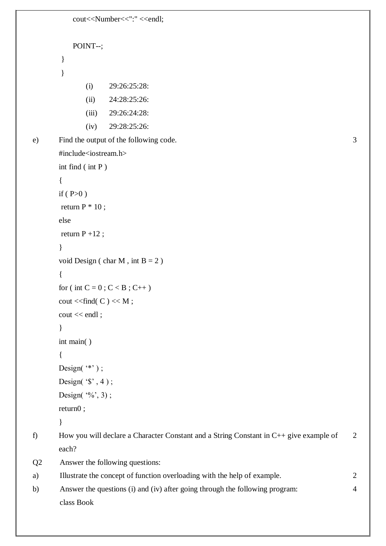```
cout<<Number<<":" <<endl;
          POINT--;
       }
       }
              (i) 29:26:25:28:
              (ii) 24:28:25:26:
              (iii) 29:26:24:28:
              (iv) 29:28:25:26:
e) Find the output of the following code. 3
       #include<iostream.h>
       int find ( int P )
       {
       if (P>0)return P * 10;
       else 
       return P + 12;
       }
       void Design ( char M, int B = 2 )
       {
       for ( int C = 0; C < B; C++)
       cout << find(C) << M;
       cout << endl ;
       }
       int main( )
       {
       Design(*");
      Design(*, 4);Design(\degree%', 3);
       return0 ;
       }
f) How you will declare a Character Constant and a String Constant in C++ give example of 
       each?
                                                                                     2
Q2 Answer the following questions:
a) Illustrate the concept of function overloading with the help of example. 2
b) Answer the questions (i) and (iv) after going through the following program: 4
       class Book
```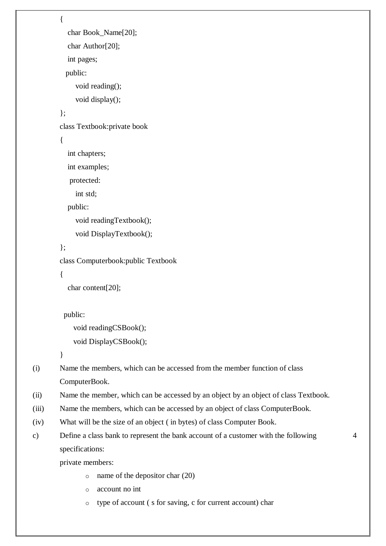```
{ 
            char Book_Name[20]; 
            char Author[20]; 
            int pages; 
           public: 
              void reading(); 
              void display(); 
        }; 
        class Textbook:private book 
         { 
            int chapters; 
            int examples; 
            protected: 
              int std; 
            public: 
              void readingTextbook(); 
              void DisplayTextbook(); 
        }; 
        class Computerbook:public Textbook 
         { 
            char content[20]; 
           public: 
              void readingCSBook(); 
              void DisplayCSBook(); 
        }
(i) Name the members, which can be accessed from the member function of class 
        ComputerBook. 
(ii) Name the member, which can be accessed by an object by an object of class Textbook. 
(iii) Name the members, which can be accessed by an object of class ComputerBook.
(iv) What will be the size of an object ( in bytes) of class Computer Book.
```

```
c) Define a class bank to represent the bank account of a customer with the following 
        specifications:
```
4

private members:

- o name of the depositor char (20)
- o account no int
- o type of account ( s for saving, c for current account) char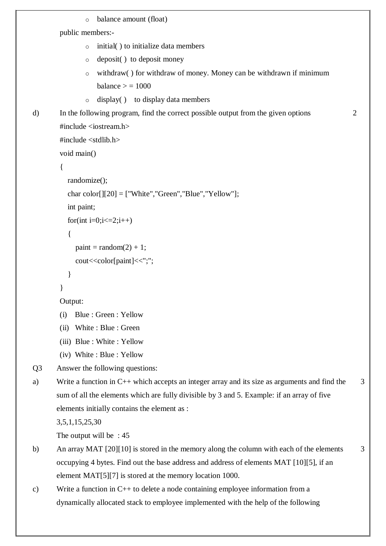```
o balance amount (float) 
        public members:-
                o initial( ) to initialize data members 
                o deposit( ) to deposit money 
                o withdraw( ) for withdraw of money. Money can be withdrawn if minimum 
                    balance > 1000\circ display( ) to display data members
d) In the following program, find the correct possible output from the given options
        #include <iostream.h> 
        #include <stdlib.h> 
        void main() 
        { 
           randomize(); 
          char color[[[20] = ["White", "Green", "Blue", "Yellow"];
            int paint; 
          for(int i=0;i\le=2;i++)
            { 
             paint = random(2) + 1;cout << color [paint] << ";";
            } 
        } 
        Output: 
        (i) Blue : Green : Yellow 
        (ii) White : Blue : Green 
        (iii) Blue : White : Yellow 
        (iv) White : Blue : Yellow
                                                                                                     2
Q3 Answer the following questions:
a) Write a function in C++ which accepts an integer array and its size as arguments and find the 
       sum of all the elements which are fully divisible by 3 and 5. Example: if an array of five 
       elements initially contains the element as :
       3,5,1,15,25,30
       The output will be : 45
                                                                                                        3
b) An array MAT [20][10] is stored in the memory along the column with each of the elements 
       occupying 4 bytes. Find out the base address and address of elements MAT [10][5], if an 
       element MAT[5][7] is stored at the memory location 1000. 
                                                                                                        3
c) Write a function in C++ to delete a node containing employee information from a 
       dynamically allocated stack to employee implemented with the help of the following
```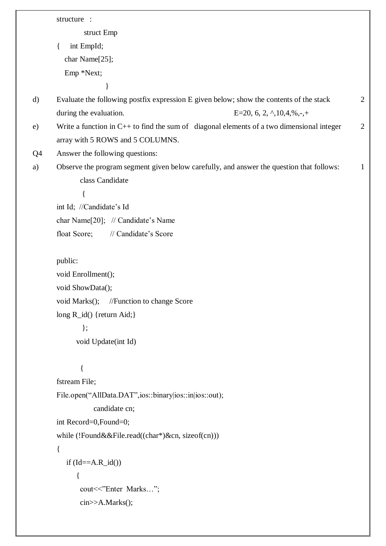|              | structure :                                                                                 |   |
|--------------|---------------------------------------------------------------------------------------------|---|
|              | struct Emp                                                                                  |   |
|              | int EmpId;<br>$\{$                                                                          |   |
|              | char Name[25];                                                                              |   |
|              | Emp *Next;                                                                                  |   |
|              | }                                                                                           |   |
| $\mathbf{d}$ | Evaluate the following postfix expression E given below; show the contents of the stack     | 2 |
|              | during the evaluation.<br>E=20, 6, 2, $\land$ , 10, 4, %, -, +                              |   |
| e)           | Write a function in $C++$ to find the sum of diagonal elements of a two dimensional integer | 2 |
|              | array with 5 ROWS and 5 COLUMNS.                                                            |   |
| Q4           | Answer the following questions:                                                             |   |
| a)           | Observe the program segment given below carefully, and answer the question that follows:    | 1 |
|              | class Candidate                                                                             |   |
|              |                                                                                             |   |
|              | int Id; //Candidate's Id                                                                    |   |
|              | char Name[20]; // Candidate's Name                                                          |   |
|              | // Candidate's Score<br>float Score;                                                        |   |
|              |                                                                                             |   |
|              | public:                                                                                     |   |
|              | void Enrollment();                                                                          |   |
|              | void ShowData();                                                                            |   |
|              | //Function to change Score<br>void Marks();                                                 |   |
|              | long R_id() {return Aid;}                                                                   |   |
|              | $\}$ ;                                                                                      |   |
|              | void Update(int Id)                                                                         |   |
|              |                                                                                             |   |
|              |                                                                                             |   |
|              | fstream File;                                                                               |   |
|              | File.open("AllData.DAT",ios::binary ios::in ios::out);                                      |   |
|              | candidate cn;                                                                               |   |
|              | int Record=0,Found=0;                                                                       |   |
|              | while (!Found&&File.read((char*)&cn, sizeof(cn)))                                           |   |
|              | $\{$                                                                                        |   |
|              | if $(Id=-A.R_id()$                                                                          |   |
|              | {                                                                                           |   |
|              | cout<<"Enter Marks";                                                                        |   |
|              | cin>>A.Marks();                                                                             |   |
|              |                                                                                             |   |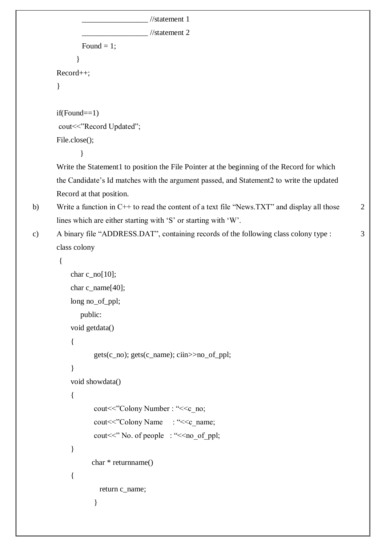```
 _________________ //statement 1
                               //statement 2
        Found = 1;
       }
Record++;
}
if(Found==1)cout<<"Record Updated";
File.close();
        }
Write the Statement1 to position the File Pointer at the beginning of the Record for which
the Candidate"s Id matches with the argument passed, and Statement2 to write the updated 
Record at that position.
```

```
b) Write a function in C++ to read the content of a text file "News.TXT" and display all those
       lines which are either starting with "S" or starting with "W".
```
2

```
c) A binary file "ADDRESS.DAT", containing records of the following class colony type : 3
```

```
class colony
```
{

```
char c_{n0}[10];
    char c_name[40];
    long no_of_ppl;
        public:
    void getdata()
    { 
           gets(c_no); gets(c_name); ciin>>no_of_ppl; 
    }
    void showdata()
    {
           cout << "Colony Number : "<< c_no;
           cout << "Colony Name : " << c_ name;
           cout << " No. of people : " << no_of_ppl;
    }
           char * returnname()
    {
              return c_name;
 }
```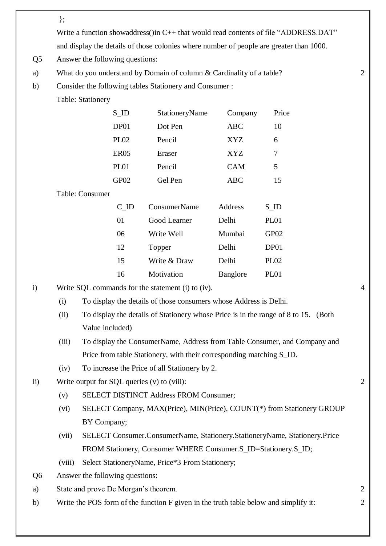};

Write a function showaddress() in C++ that would read contents of file "ADDRESS.DAT"

and display the details of those colonies where number of people are greater than 1000.

- Q5 Answer the following questions:
- a) What do you understand by Domain of column & Cardinality of a table? 2
- b) Consider the following tables Stationery and Consumer :

Table: Stationery

|                 | $S$ <sub>ID</sub> | StationeryName | Company    | Price             |
|-----------------|-------------------|----------------|------------|-------------------|
|                 | DP01              | Dot Pen        | <b>ABC</b> | 10                |
|                 | PL <sub>02</sub>  | Pencil         | <b>XYZ</b> | 6                 |
|                 | ER <sub>05</sub>  | Eraser         | <b>XYZ</b> | 7                 |
|                 | PL01              | Pencil         | <b>CAM</b> | 5                 |
|                 | GP <sub>02</sub>  | Gel Pen        | <b>ABC</b> | 15                |
| Table: Consumer |                   |                |            |                   |
|                 | C ID              | ConsumerName   | Address    | $S$ <sub>ID</sub> |
|                 | 01                | Good Learner   | Delhi      | PL <sub>01</sub>  |
|                 | 06                | Write Well     | Mumbai     | GP02              |

| 12                                                                        | Topper       | Delhi    | DP01             |
|---------------------------------------------------------------------------|--------------|----------|------------------|
| 15                                                                        | Write & Draw | Delhi    | PL <sub>02</sub> |
| 16                                                                        | Motivation   | Banglore | PL <sub>01</sub> |
| $\cos A_2$ for the statement $\left(\cdot\right)$ to $\left(\cdot\right)$ |              |          |                  |

i) Write SOL commands for the statement (i) to (iv). 4

- (i) To display the details of those consumers whose Address is Delhi.
- (ii) To display the details of Stationery whose Price is in the range of 8 to 15. (Both Value included)
- (iii) To display the ConsumerName, Address from Table Consumer, and Company and Price from table Stationery, with their corresponding matching S\_ID.
- (iv) To increase the Price of all Stationery by 2.
- ii) Write output for SQL queries (v) to (viii): 2
	- (v) SELECT DISTINCT Address FROM Consumer;
	- (vi) SELECT Company, MAX(Price), MIN(Price), COUNT(\*) from Stationery GROUP BY Company;
	- (vii) SELECT Consumer.ConsumerName, Stationery.StationeryName, Stationery.Price FROM Stationery, Consumer WHERE Consumer.S\_ID=Stationery.S\_ID;
	- (viii) Select StationeryName, Price\*3 From Stationery;
- Q6 Answer the following questions:
- a) State and prove De Morgan"s theorem. 2
- b) Write the POS form of the function F given in the truth table below and simplify it: 2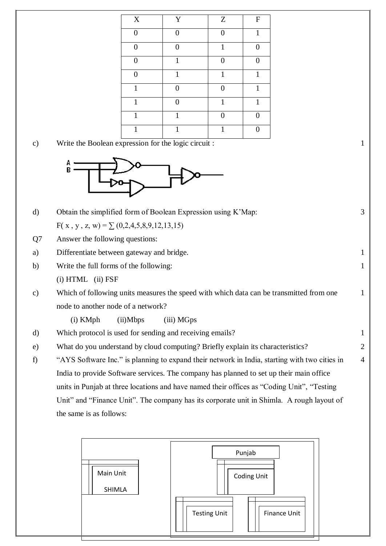| $\mathbf X$  | Y              | Z        | ${\bf F}$    |
|--------------|----------------|----------|--------------|
| $\Omega$     | $\theta$       | $\Omega$ | $\mathbf{1}$ |
| $\Omega$     | $\theta$       | 1        | $\Omega$     |
| $\Omega$     | 1              | 0        | ∩            |
| $\theta$     | 1              | 1        | $\mathbf{1}$ |
| $\mathbf{1}$ | $\overline{0}$ | 0        | $\mathbf{1}$ |
| $\mathbf{1}$ | $\theta$       | 1        | 1            |
| 1            | 1              | 0        |              |
| 1            | 1              | 1        |              |

c) Write the Boolean expression for the logic circuit : 1



d) Obtain the simplified form of Boolean Expression using K'Map: 3

 $F(x, y, z, w) = \sum (0, 2, 4, 5, 8, 9, 12, 13, 15)$ 

- Q7 Answer the following questions:
- a) Differentiate between gateway and bridge. 1
- b) Write the full forms of the following: (i) HTML (ii) FSF
- c) Which of following units measures the speed with which data can be transmitted from one node to another node of a network?

1

1

(i) KMph (ii)Mbps (iii) MGps

- d) Which protocol is used for sending and receiving emails? 1
- e) What do you understand by cloud computing? Briefly explain its characteristics? 2
- f) "AYS Software Inc." is planning to expand their network in India, starting with two cities in India to provide Software services. The company has planned to set up their main office units in Punjab at three locations and have named their offices as "Coding Unit", "Testing Unit" and "Finance Unit". The company has its corporate unit in Shimla. A rough layout of the same is as follows: 4

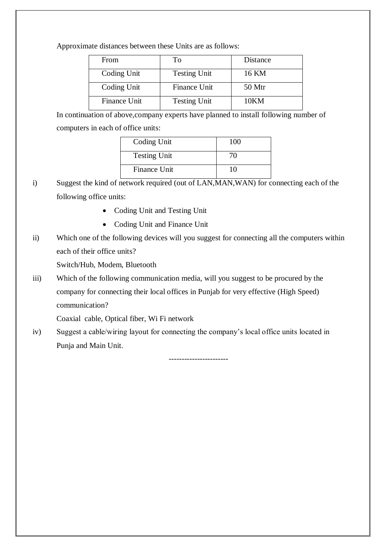Approximate distances between these Units are as follows:

| From         | Tο                  | Distance |
|--------------|---------------------|----------|
| Coding Unit  | <b>Testing Unit</b> | 16 KM    |
| Coding Unit  | <b>Finance Unit</b> | 50 Mtr   |
| Finance Unit | <b>Testing Unit</b> | 10KM     |

In continuation of above,company experts have planned to install following number of computers in each of office units:

| Coding Unit         | 100 |
|---------------------|-----|
| <b>Testing Unit</b> | 70  |
| Finance Unit        | 10  |

- i) Suggest the kind of network required (out of LAN,MAN,WAN) for connecting each of the following office units:
	- Coding Unit and Testing Unit
	- Coding Unit and Finance Unit
- ii) Which one of the following devices will you suggest for connecting all the computers within each of their office units?

Switch/Hub, Modem, Bluetooth

iii) Which of the following communication media, will you suggest to be procured by the company for connecting their local offices in Punjab for very effective (High Speed) communication?

Coaxial cable, Optical fiber, Wi Fi network

iv) Suggest a cable/wiring layout for connecting the company"s local office units located in Punja and Main Unit.

-----------------------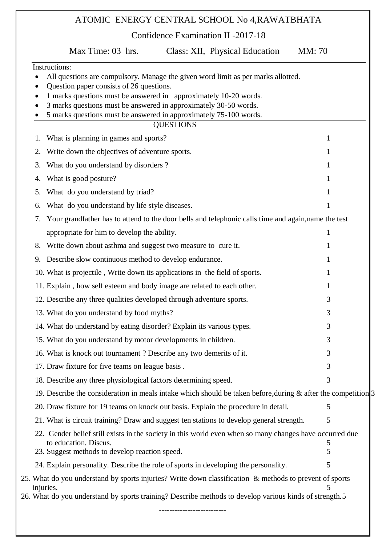# ATOMIC ENERGY CENTRAL SCHOOL No 4,RAWATBHATA Confidence Examination II -2017-18 Max Time: 03 hrs. Class: XII, Physical Education MM: 70 Instructions: All questions are compulsory. Manage the given word limit as per marks allotted. Question paper consists of 26 questions. 1 marks questions must be answered in approximately 10-20 words. 3 marks questions must be answered in approximately 30-50 words. 5 marks questions must be answered in approximately 75-100 words. **OUESTIONS** 1. What is planning in games and sports? 2. Write down the objectives of adventure sports. 3. What do you understand by disorders ? 1 4. What is good posture? 1 5. What do you understand by triad? 6. What do you understand by life style diseases. 1 7. Your grandfather has to attend to the door bells and telephonic calls time and again,name the test appropriate for him to develop the ability. 8. Write down about asthma and suggest two measure to cure it. 9. Describe slow continuous method to develop endurance. 1 10. What is projectile, Write down its applications in the field of sports. 1 11. Explain, how self esteem and body image are related to each other. 12. Describe any three qualities developed through adventure sports. 3 13. What do you understand by food myths? 3 14. What do understand by eating disorder? Explain its various types. 3 15. What do you understand by motor developments in children. 3 16. What is knock out tournament ? Describe any two demerits of it. 3 17. Draw fixture for five teams on league basis . 3 18. Describe any three physiological factors determining speed. 3 19. Describe the consideration in meals intake which should be taken before, during  $\&$  after the competition. 3 20. Draw fixture for 19 teams on knock out basis. Explain the procedure in detail. 5 21. What is circuit training? Draw and suggest ten stations to develop general strength. 5 22. Gender belief still exists in the society in this world even when so many changes have occurred due to education. Discus. 5 23. Suggest methods to develop reaction speed. 5 24. Explain personality. Describe the role of sports in developing the personality. 25. What do you understand by sports injuries? Write down classification & methods to prevent of sports injuries. 5 26. What do you understand by sports training? Describe methods to develop various kinds of strength.5 --------------------------